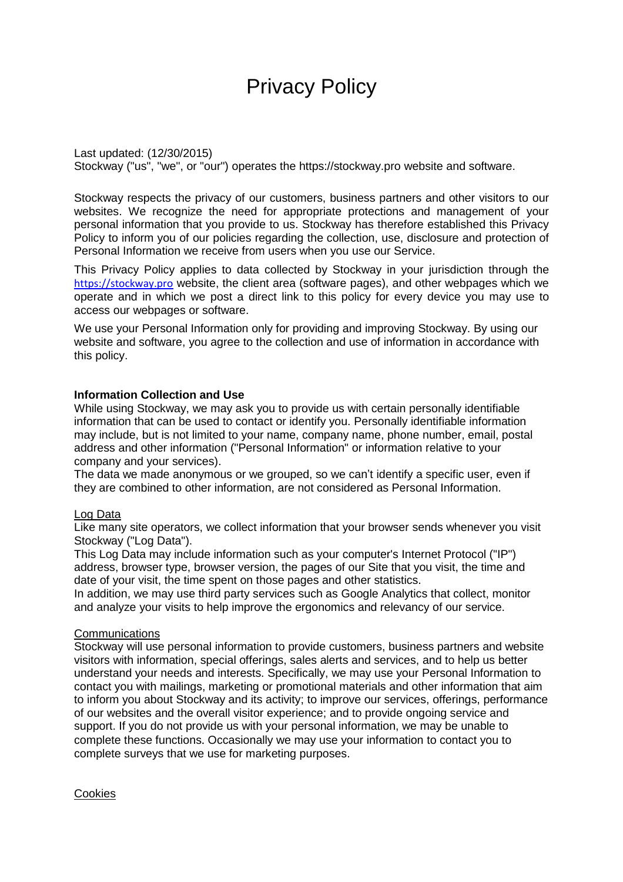# Privacy Policy

Last updated: (12/30/2015) Stockway ("us", "we", or "our") operates the https://stockway.pro website and software.

Stockway respects the privacy of our customers, business partners and other visitors to our websites. We recognize the need for appropriate protections and management of your personal information that you provide to us. Stockway has therefore established this Privacy Policy to inform you of our policies regarding the collection, use, disclosure and protection of Personal Information we receive from users when you use our Service.

This Privacy Policy applies to data collected by Stockway in your jurisdiction through the [https://stockway.pro](https://stockway.pro/) website, the client area (software pages), and other webpages which we operate and in which we post a direct link to this policy for every device you may use to access our webpages or software.

We use your Personal Information only for providing and improving Stockway. By using our website and software, you agree to the collection and use of information in accordance with this policy.

#### **Information Collection and Use**

While using Stockway, we may ask you to provide us with certain personally identifiable information that can be used to contact or identify you. Personally identifiable information may include, but is not limited to your name, company name, phone number, email, postal address and other information ("Personal Information" or information relative to your company and your services).

The data we made anonymous or we grouped, so we can't identify a specific user, even if they are combined to other information, are not considered as Personal Information.

#### Log Data

Like many site operators, we collect information that your browser sends whenever you visit Stockway ("Log Data").

This Log Data may include information such as your computer's Internet Protocol ("IP") address, browser type, browser version, the pages of our Site that you visit, the time and date of your visit, the time spent on those pages and other statistics.

In addition, we may use third party services such as Google Analytics that collect, monitor and analyze your visits to help improve the ergonomics and relevancy of our service.

#### **Communications**

Stockway will use personal information to provide customers, business partners and website visitors with information, special offerings, sales alerts and services, and to help us better understand your needs and interests. Specifically, we may use your Personal Information to contact you with mailings, marketing or promotional materials and other information that aim to inform you about Stockway and its activity; to improve our services, offerings, performance of our websites and the overall visitor experience; and to provide ongoing service and support. If you do not provide us with your personal information, we may be unable to complete these functions. Occasionally we may use your information to contact you to complete surveys that we use for marketing purposes.

**Cookies**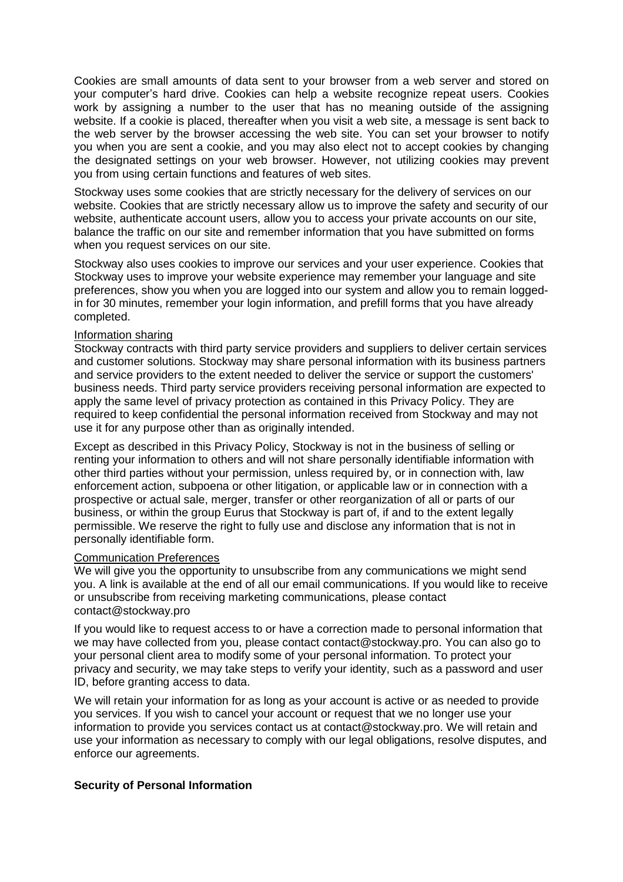Cookies are small amounts of data sent to your browser from a web server and stored on your computer's hard drive. Cookies can help a website recognize repeat users. Cookies work by assigning a number to the user that has no meaning outside of the assigning website. If a cookie is placed, thereafter when you visit a web site, a message is sent back to the web server by the browser accessing the web site. You can set your browser to notify you when you are sent a cookie, and you may also elect not to accept cookies by changing the designated settings on your web browser. However, not utilizing cookies may prevent you from using certain functions and features of web sites.

Stockway uses some cookies that are strictly necessary for the delivery of services on our website. Cookies that are strictly necessary allow us to improve the safety and security of our website, authenticate account users, allow you to access your private accounts on our site, balance the traffic on our site and remember information that you have submitted on forms when you request services on our site.

Stockway also uses cookies to improve our services and your user experience. Cookies that Stockway uses to improve your website experience may remember your language and site preferences, show you when you are logged into our system and allow you to remain loggedin for 30 minutes, remember your login information, and prefill forms that you have already completed.

#### Information sharing

Stockway contracts with third party service providers and suppliers to deliver certain services and customer solutions. Stockway may share personal information with its business partners and service providers to the extent needed to deliver the service or support the customers' business needs. Third party service providers receiving personal information are expected to apply the same level of privacy protection as contained in this Privacy Policy. They are required to keep confidential the personal information received from Stockway and may not use it for any purpose other than as originally intended.

Except as described in this Privacy Policy, Stockway is not in the business of selling or renting your information to others and will not share personally identifiable information with other third parties without your permission, unless required by, or in connection with, law enforcement action, subpoena or other litigation, or applicable law or in connection with a prospective or actual sale, merger, transfer or other reorganization of all or parts of our business, or within the group Eurus that Stockway is part of, if and to the extent legally permissible. We reserve the right to fully use and disclose any information that is not in personally identifiable form.

#### Communication Preferences

We will give you the opportunity to unsubscribe from any communications we might send you. A link is available at the end of all our email communications. If you would like to receive or unsubscribe from receiving marketing communications, please contact [contact@stockway.pro](mailto:contact@stockway.pro)

If you would like to request access to or have a correction made to personal information that we may have collected from you, please contact [contact@stockway.pro.](mailto:contact@stockway.pro) You can also go to your personal client area to modify some of your personal information. To protect your privacy and security, we may take steps to verify your identity, such as a password and user ID, before granting access to data.

We will retain your information for as long as your account is active or as needed to provide you services. If you wish to cancel your account or request that we no longer use your information to provide you services contact us at [contact@stockway.pro.](mailto:contact@stockway.pro) We will retain and use your information as necessary to comply with our legal obligations, resolve disputes, and enforce our agreements.

### **Security of Personal Information**